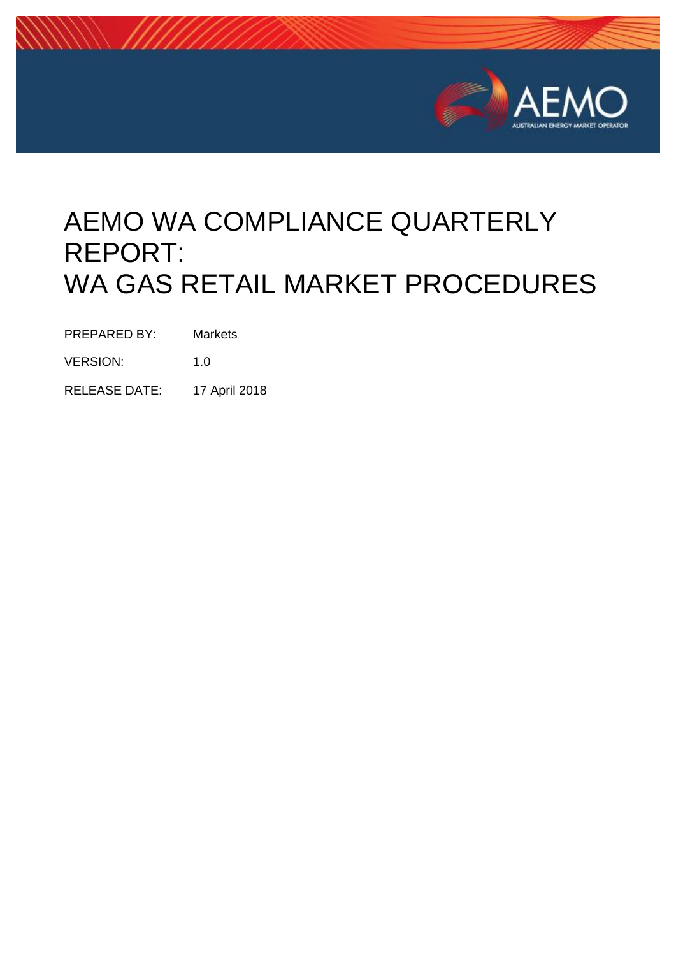

# AEMO WA COMPLIANCE QUARTERLY REPORT: WA GAS RETAIL MARKET PROCEDURES

PREPARED BY: Markets

VERSION: 1.0

RELEASE DATE: 17 April 2018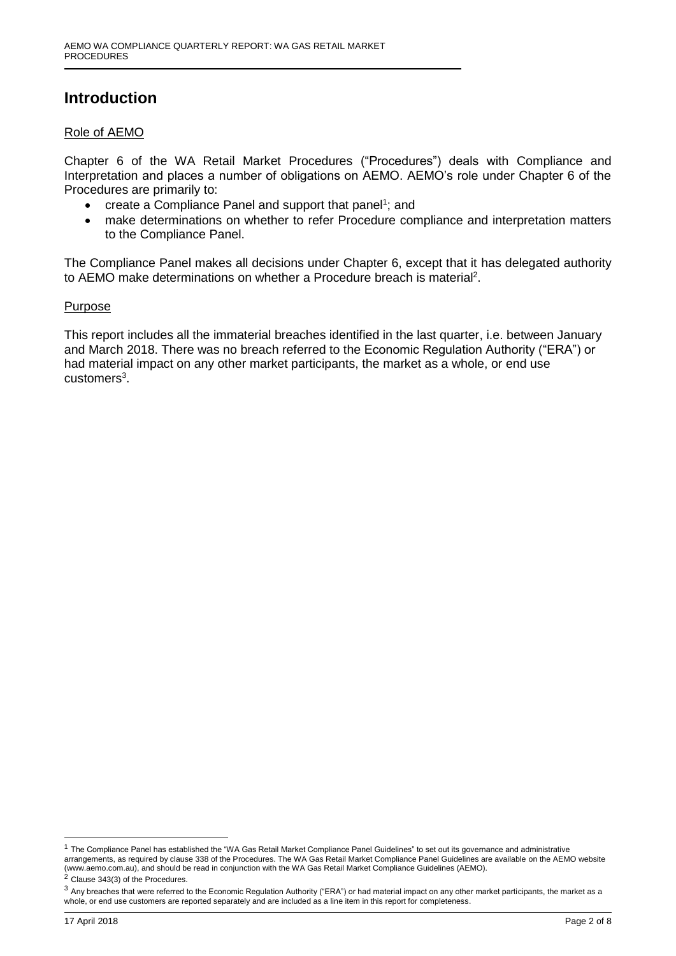### **Introduction**

#### Role of AEMO

Chapter 6 of the WA Retail Market Procedures ("Procedures") deals with Compliance and Interpretation and places a number of obligations on AEMO. AEMO's role under Chapter 6 of the Procedures are primarily to:

- create a Compliance Panel and support that panel<sup>1</sup>; and
- make determinations on whether to refer Procedure compliance and interpretation matters to the Compliance Panel.

The Compliance Panel makes all decisions under Chapter 6, except that it has delegated authority to AEMO make determinations on whether a Procedure breach is material<sup>2</sup>.

#### Purpose

This report includes all the immaterial breaches identified in the last quarter, i.e. between January and March 2018. There was no breach referred to the Economic Regulation Authority ("ERA") or had material impact on any other market participants, the market as a whole, or end use customers<sup>3</sup>.

 $2$  Clause 343(3) of the Procedures.

-

 $1$  The Compliance Panel has established the "WA Gas Retail Market Compliance Panel Guidelines" to set out its governance and administrative arrangements, as required by clause 338 of the Procedures. The WA Gas Retail Market Compliance Panel Guidelines are available on the AEMO website (www.aemo.com.au), and should be read in conjunction with the WA Gas Retail Market Compliance Guidelines (AEMO).

 $3$  Any breaches that were referred to the Economic Regulation Authority ("ERA") or had material impact on any other market participants, the market as a whole, or end use customers are reported separately and are included as a line item in this report for completeness.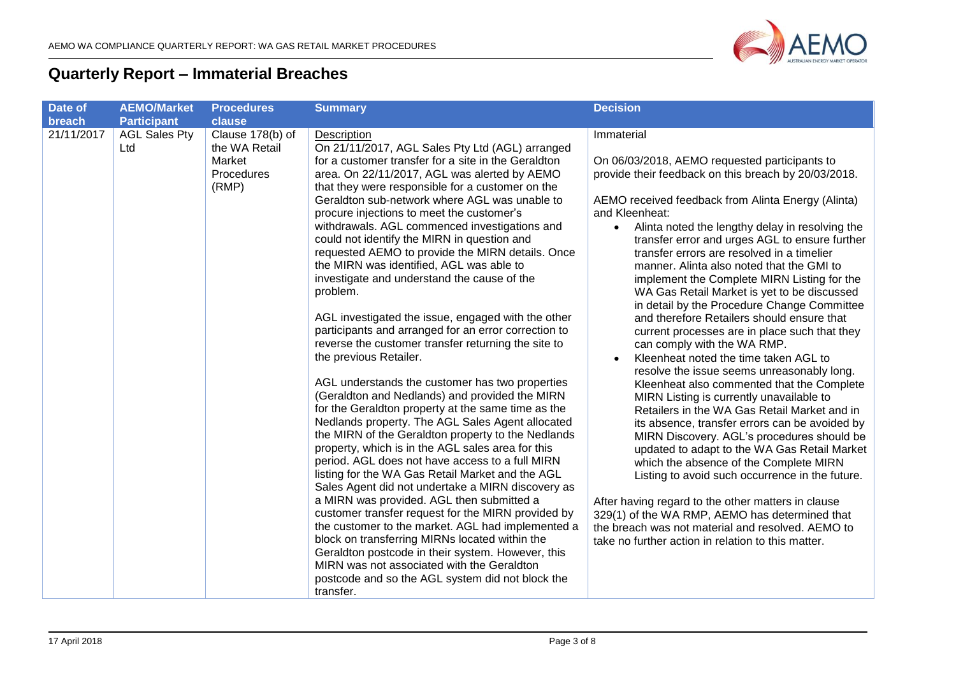

## **Quarterly Report – Immaterial Breaches**

| Date of<br>breach       | <b>AEMO/Market</b><br><b>Participant</b> | <b>Procedures</b><br>clause                                        | <b>Summary</b>                                                                                                                                                                                                                                                                                                                                                                                                                                                                                                                                                                                                                                                                                                                                                                                                                                                                                                                                                                                                                                                                                                                                                                                                                                                                                                                                                                                                                                                                                                                                                                                                                                        | <b>Decision</b>                                                                                                                                                                                                                                                                                                                                                                                                                                                                                                                                                                                                                                                                                                                                                                                                                                                                                                                                                                                                                                                                                                                                                                                                                                                                                                                                                                                   |
|-------------------------|------------------------------------------|--------------------------------------------------------------------|-------------------------------------------------------------------------------------------------------------------------------------------------------------------------------------------------------------------------------------------------------------------------------------------------------------------------------------------------------------------------------------------------------------------------------------------------------------------------------------------------------------------------------------------------------------------------------------------------------------------------------------------------------------------------------------------------------------------------------------------------------------------------------------------------------------------------------------------------------------------------------------------------------------------------------------------------------------------------------------------------------------------------------------------------------------------------------------------------------------------------------------------------------------------------------------------------------------------------------------------------------------------------------------------------------------------------------------------------------------------------------------------------------------------------------------------------------------------------------------------------------------------------------------------------------------------------------------------------------------------------------------------------------|---------------------------------------------------------------------------------------------------------------------------------------------------------------------------------------------------------------------------------------------------------------------------------------------------------------------------------------------------------------------------------------------------------------------------------------------------------------------------------------------------------------------------------------------------------------------------------------------------------------------------------------------------------------------------------------------------------------------------------------------------------------------------------------------------------------------------------------------------------------------------------------------------------------------------------------------------------------------------------------------------------------------------------------------------------------------------------------------------------------------------------------------------------------------------------------------------------------------------------------------------------------------------------------------------------------------------------------------------------------------------------------------------|
| $\overline{21}/11/2017$ | <b>AGL Sales Pty</b><br>Ltd              | Clause 178(b) of<br>the WA Retail<br>Market<br>Procedures<br>(RMP) | Description<br>On 21/11/2017, AGL Sales Pty Ltd (AGL) arranged<br>for a customer transfer for a site in the Geraldton<br>area. On 22/11/2017, AGL was alerted by AEMO<br>that they were responsible for a customer on the<br>Geraldton sub-network where AGL was unable to<br>procure injections to meet the customer's<br>withdrawals. AGL commenced investigations and<br>could not identify the MIRN in question and<br>requested AEMO to provide the MIRN details. Once<br>the MIRN was identified, AGL was able to<br>investigate and understand the cause of the<br>problem.<br>AGL investigated the issue, engaged with the other<br>participants and arranged for an error correction to<br>reverse the customer transfer returning the site to<br>the previous Retailer.<br>AGL understands the customer has two properties<br>(Geraldton and Nedlands) and provided the MIRN<br>for the Geraldton property at the same time as the<br>Nedlands property. The AGL Sales Agent allocated<br>the MIRN of the Geraldton property to the Nedlands<br>property, which is in the AGL sales area for this<br>period. AGL does not have access to a full MIRN<br>listing for the WA Gas Retail Market and the AGL<br>Sales Agent did not undertake a MIRN discovery as<br>a MIRN was provided. AGL then submitted a<br>customer transfer request for the MIRN provided by<br>the customer to the market. AGL had implemented a<br>block on transferring MIRNs located within the<br>Geraldton postcode in their system. However, this<br>MIRN was not associated with the Geraldton<br>postcode and so the AGL system did not block the<br>transfer. | Immaterial<br>On 06/03/2018, AEMO requested participants to<br>provide their feedback on this breach by 20/03/2018.<br>AEMO received feedback from Alinta Energy (Alinta)<br>and Kleenheat:<br>Alinta noted the lengthy delay in resolving the<br>$\bullet$<br>transfer error and urges AGL to ensure further<br>transfer errors are resolved in a timelier<br>manner. Alinta also noted that the GMI to<br>implement the Complete MIRN Listing for the<br>WA Gas Retail Market is yet to be discussed<br>in detail by the Procedure Change Committee<br>and therefore Retailers should ensure that<br>current processes are in place such that they<br>can comply with the WA RMP.<br>Kleenheat noted the time taken AGL to<br>$\bullet$<br>resolve the issue seems unreasonably long.<br>Kleenheat also commented that the Complete<br>MIRN Listing is currently unavailable to<br>Retailers in the WA Gas Retail Market and in<br>its absence, transfer errors can be avoided by<br>MIRN Discovery. AGL's procedures should be<br>updated to adapt to the WA Gas Retail Market<br>which the absence of the Complete MIRN<br>Listing to avoid such occurrence in the future.<br>After having regard to the other matters in clause<br>329(1) of the WA RMP, AEMO has determined that<br>the breach was not material and resolved. AEMO to<br>take no further action in relation to this matter. |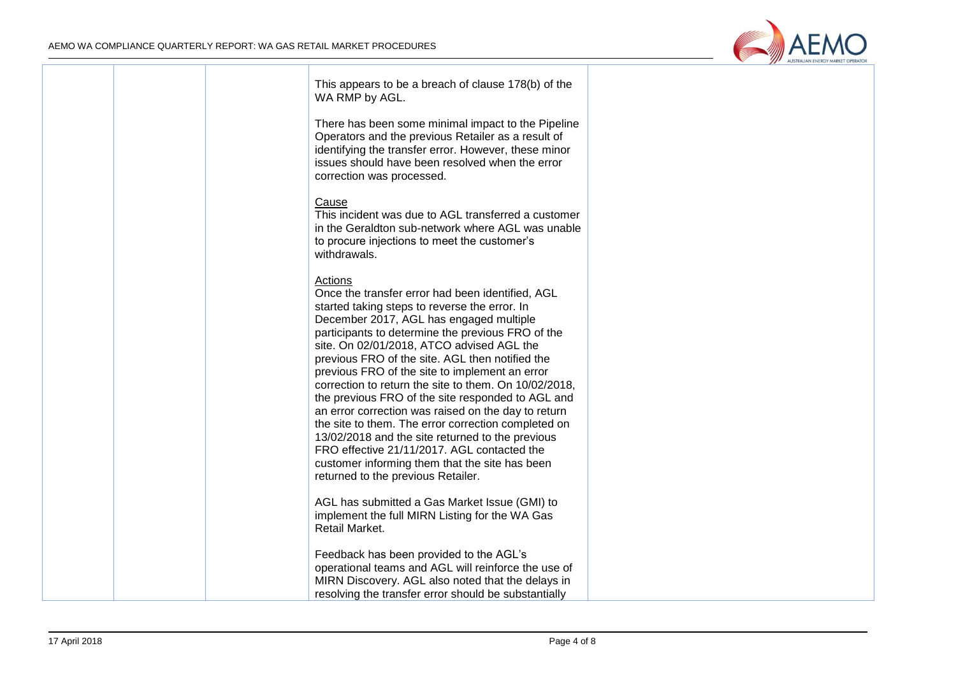

|  | This appears to be a breach of clause 178(b) of the<br>WA RMP by AGL.                                                                                                                                                                                                                                                                                                                                                                                                                                                                                                                                                                                                                                                                                                                 |  |
|--|---------------------------------------------------------------------------------------------------------------------------------------------------------------------------------------------------------------------------------------------------------------------------------------------------------------------------------------------------------------------------------------------------------------------------------------------------------------------------------------------------------------------------------------------------------------------------------------------------------------------------------------------------------------------------------------------------------------------------------------------------------------------------------------|--|
|  | There has been some minimal impact to the Pipeline<br>Operators and the previous Retailer as a result of<br>identifying the transfer error. However, these minor<br>issues should have been resolved when the error<br>correction was processed.                                                                                                                                                                                                                                                                                                                                                                                                                                                                                                                                      |  |
|  | Cause<br>This incident was due to AGL transferred a customer<br>in the Geraldton sub-network where AGL was unable<br>to procure injections to meet the customer's<br>withdrawals.                                                                                                                                                                                                                                                                                                                                                                                                                                                                                                                                                                                                     |  |
|  | Actions<br>Once the transfer error had been identified, AGL<br>started taking steps to reverse the error. In<br>December 2017, AGL has engaged multiple<br>participants to determine the previous FRO of the<br>site. On 02/01/2018, ATCO advised AGL the<br>previous FRO of the site. AGL then notified the<br>previous FRO of the site to implement an error<br>correction to return the site to them. On 10/02/2018,<br>the previous FRO of the site responded to AGL and<br>an error correction was raised on the day to return<br>the site to them. The error correction completed on<br>13/02/2018 and the site returned to the previous<br>FRO effective 21/11/2017. AGL contacted the<br>customer informing them that the site has been<br>returned to the previous Retailer. |  |
|  | AGL has submitted a Gas Market Issue (GMI) to<br>implement the full MIRN Listing for the WA Gas<br>Retail Market.                                                                                                                                                                                                                                                                                                                                                                                                                                                                                                                                                                                                                                                                     |  |
|  | Feedback has been provided to the AGL's<br>operational teams and AGL will reinforce the use of<br>MIRN Discovery. AGL also noted that the delays in<br>resolving the transfer error should be substantially                                                                                                                                                                                                                                                                                                                                                                                                                                                                                                                                                                           |  |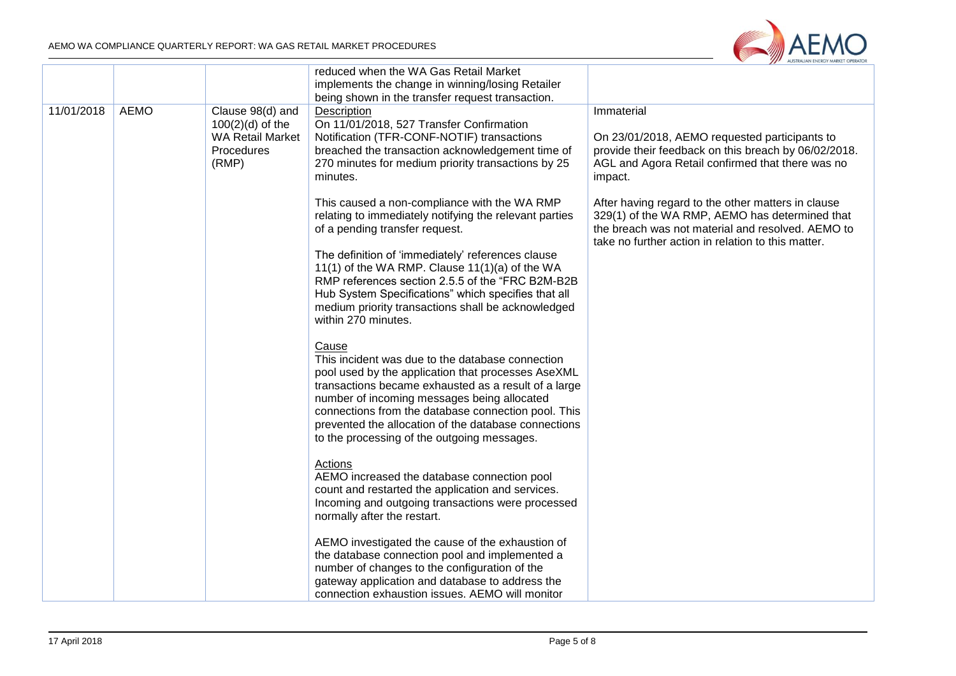

|            |             |                                                                                          | reduced when the WA Gas Retail Market<br>implements the change in winning/losing Retailer<br>being shown in the transfer request transaction.                                                                                                                                                                                                                                        |                                                                                                                                                                                                                 |
|------------|-------------|------------------------------------------------------------------------------------------|--------------------------------------------------------------------------------------------------------------------------------------------------------------------------------------------------------------------------------------------------------------------------------------------------------------------------------------------------------------------------------------|-----------------------------------------------------------------------------------------------------------------------------------------------------------------------------------------------------------------|
| 11/01/2018 | <b>AEMO</b> | Clause 98(d) and<br>$100(2)(d)$ of the<br><b>WA Retail Market</b><br>Procedures<br>(RMP) | <b>Description</b><br>On 11/01/2018, 527 Transfer Confirmation<br>Notification (TFR-CONF-NOTIF) transactions<br>breached the transaction acknowledgement time of<br>270 minutes for medium priority transactions by 25<br>minutes.                                                                                                                                                   | Immaterial<br>On 23/01/2018, AEMO requested participants to<br>provide their feedback on this breach by 06/02/2018.<br>AGL and Agora Retail confirmed that there was no<br>impact.                              |
|            |             |                                                                                          | This caused a non-compliance with the WA RMP<br>relating to immediately notifying the relevant parties<br>of a pending transfer request.                                                                                                                                                                                                                                             | After having regard to the other matters in clause<br>329(1) of the WA RMP, AEMO has determined that<br>the breach was not material and resolved. AEMO to<br>take no further action in relation to this matter. |
|            |             |                                                                                          | The definition of 'immediately' references clause<br>11(1) of the WA RMP. Clause 11(1)(a) of the WA<br>RMP references section 2.5.5 of the "FRC B2M-B2B<br>Hub System Specifications" which specifies that all<br>medium priority transactions shall be acknowledged<br>within 270 minutes.                                                                                          |                                                                                                                                                                                                                 |
|            |             |                                                                                          | Cause<br>This incident was due to the database connection<br>pool used by the application that processes AseXML<br>transactions became exhausted as a result of a large<br>number of incoming messages being allocated<br>connections from the database connection pool. This<br>prevented the allocation of the database connections<br>to the processing of the outgoing messages. |                                                                                                                                                                                                                 |
|            |             |                                                                                          | Actions<br>AEMO increased the database connection pool<br>count and restarted the application and services.<br>Incoming and outgoing transactions were processed<br>normally after the restart.                                                                                                                                                                                      |                                                                                                                                                                                                                 |
|            |             |                                                                                          | AEMO investigated the cause of the exhaustion of<br>the database connection pool and implemented a<br>number of changes to the configuration of the<br>gateway application and database to address the<br>connection exhaustion issues. AEMO will monitor                                                                                                                            |                                                                                                                                                                                                                 |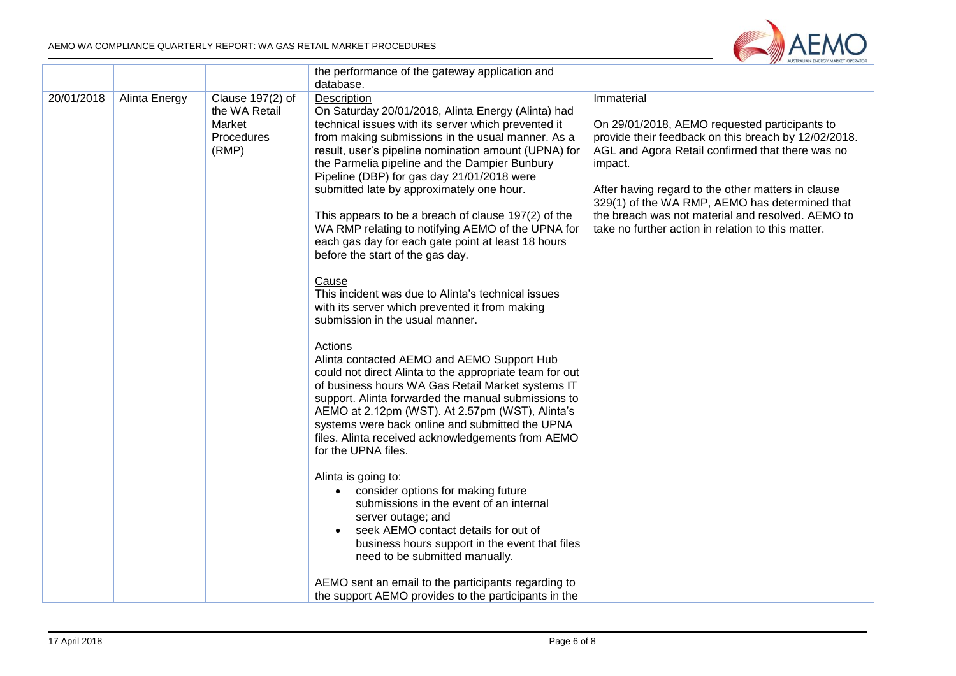

|            |               |                                                                    | the performance of the gateway application and<br>database.                                                                                                                                                                                                                                                                                                                                                                                                                                                                                                                                                                                                                                                                                                                                                                                                                                                                                                                                                                                                                                                                                                                                                                                                                                                                                                                                                                                                                                                                            |                                                                                                                                                                                                                                                                                                                                                                                                       |
|------------|---------------|--------------------------------------------------------------------|----------------------------------------------------------------------------------------------------------------------------------------------------------------------------------------------------------------------------------------------------------------------------------------------------------------------------------------------------------------------------------------------------------------------------------------------------------------------------------------------------------------------------------------------------------------------------------------------------------------------------------------------------------------------------------------------------------------------------------------------------------------------------------------------------------------------------------------------------------------------------------------------------------------------------------------------------------------------------------------------------------------------------------------------------------------------------------------------------------------------------------------------------------------------------------------------------------------------------------------------------------------------------------------------------------------------------------------------------------------------------------------------------------------------------------------------------------------------------------------------------------------------------------------|-------------------------------------------------------------------------------------------------------------------------------------------------------------------------------------------------------------------------------------------------------------------------------------------------------------------------------------------------------------------------------------------------------|
| 20/01/2018 | Alinta Energy | Clause 197(2) of<br>the WA Retail<br>Market<br>Procedures<br>(RMP) | Description<br>On Saturday 20/01/2018, Alinta Energy (Alinta) had<br>technical issues with its server which prevented it<br>from making submissions in the usual manner. As a<br>result, user's pipeline nomination amount (UPNA) for<br>the Parmelia pipeline and the Dampier Bunbury<br>Pipeline (DBP) for gas day 21/01/2018 were<br>submitted late by approximately one hour.<br>This appears to be a breach of clause 197(2) of the<br>WA RMP relating to notifying AEMO of the UPNA for<br>each gas day for each gate point at least 18 hours<br>before the start of the gas day.<br>Cause<br>This incident was due to Alinta's technical issues<br>with its server which prevented it from making<br>submission in the usual manner.<br>Actions<br>Alinta contacted AEMO and AEMO Support Hub<br>could not direct Alinta to the appropriate team for out<br>of business hours WA Gas Retail Market systems IT<br>support. Alinta forwarded the manual submissions to<br>AEMO at 2.12pm (WST). At 2.57pm (WST), Alinta's<br>systems were back online and submitted the UPNA<br>files. Alinta received acknowledgements from AEMO<br>for the UPNA files.<br>Alinta is going to:<br>consider options for making future<br>submissions in the event of an internal<br>server outage; and<br>seek AEMO contact details for out of<br>business hours support in the event that files<br>need to be submitted manually.<br>AEMO sent an email to the participants regarding to<br>the support AEMO provides to the participants in the | Immaterial<br>On 29/01/2018, AEMO requested participants to<br>provide their feedback on this breach by 12/02/2018.<br>AGL and Agora Retail confirmed that there was no<br>impact.<br>After having regard to the other matters in clause<br>329(1) of the WA RMP, AEMO has determined that<br>the breach was not material and resolved. AEMO to<br>take no further action in relation to this matter. |
|            |               |                                                                    |                                                                                                                                                                                                                                                                                                                                                                                                                                                                                                                                                                                                                                                                                                                                                                                                                                                                                                                                                                                                                                                                                                                                                                                                                                                                                                                                                                                                                                                                                                                                        |                                                                                                                                                                                                                                                                                                                                                                                                       |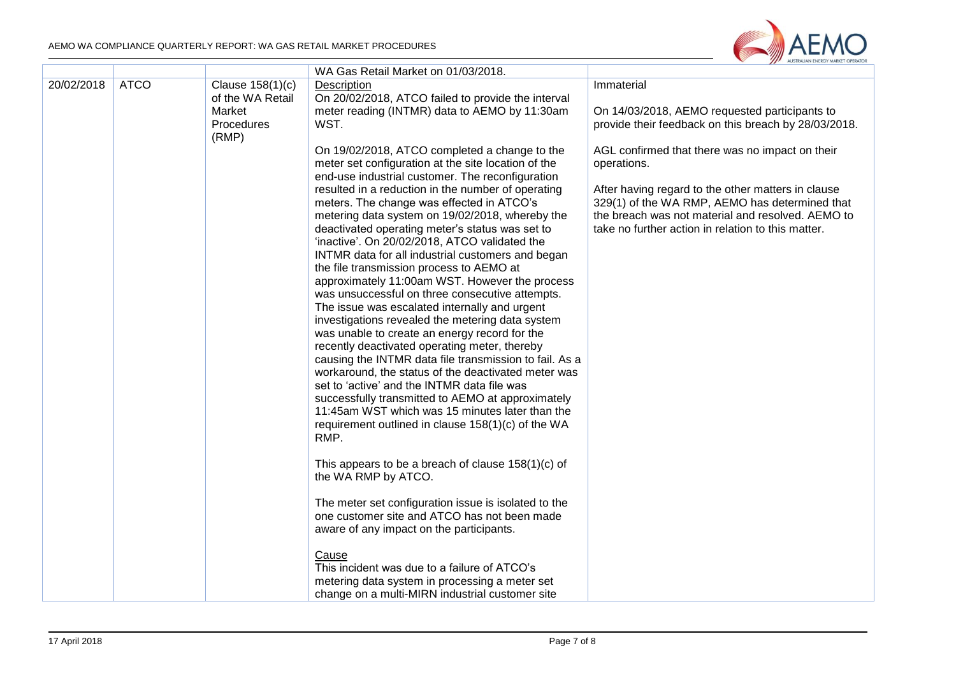÷



| 20/02/2018 | <b>ATCO</b> | Clause 158(1)(c)<br>of the WA Retail<br>Market<br>Procedures<br>(RMP) | WA Gas Retail Market on 01/03/2018.<br>Description<br>On 20/02/2018, ATCO failed to provide the interval<br>meter reading (INTMR) data to AEMO by 11:30am<br>WST.<br>On 19/02/2018, ATCO completed a change to the<br>meter set configuration at the site location of the<br>end-use industrial customer. The reconfiguration<br>resulted in a reduction in the number of operating<br>meters. The change was effected in ATCO's<br>metering data system on 19/02/2018, whereby the<br>deactivated operating meter's status was set to<br>'inactive'. On 20/02/2018, ATCO validated the<br>INTMR data for all industrial customers and began<br>the file transmission process to AEMO at<br>approximately 11:00am WST. However the process<br>was unsuccessful on three consecutive attempts.<br>The issue was escalated internally and urgent<br>investigations revealed the metering data system<br>was unable to create an energy record for the<br>recently deactivated operating meter, thereby<br>causing the INTMR data file transmission to fail. As a<br>workaround, the status of the deactivated meter was<br>set to 'active' and the INTMR data file was<br>successfully transmitted to AEMO at approximately<br>11:45am WST which was 15 minutes later than the<br>requirement outlined in clause 158(1)(c) of the WA<br>RMP.<br>This appears to be a breach of clause $158(1)(c)$ of<br>the WA RMP by ATCO.<br>The meter set configuration issue is isolated to the<br>one customer site and ATCO has not been made<br>aware of any impact on the participants.<br>Cause | Immaterial<br>On 14/03/2018, AEMO requested participants to<br>provide their feedback on this breach by 28/03/2018.<br>AGL confirmed that there was no impact on their<br>operations.<br>After having regard to the other matters in clause<br>329(1) of the WA RMP, AEMO has determined that<br>the breach was not material and resolved. AEMO to<br>take no further action in relation to this matter. |
|------------|-------------|-----------------------------------------------------------------------|----------------------------------------------------------------------------------------------------------------------------------------------------------------------------------------------------------------------------------------------------------------------------------------------------------------------------------------------------------------------------------------------------------------------------------------------------------------------------------------------------------------------------------------------------------------------------------------------------------------------------------------------------------------------------------------------------------------------------------------------------------------------------------------------------------------------------------------------------------------------------------------------------------------------------------------------------------------------------------------------------------------------------------------------------------------------------------------------------------------------------------------------------------------------------------------------------------------------------------------------------------------------------------------------------------------------------------------------------------------------------------------------------------------------------------------------------------------------------------------------------------------------------------------------------------------------------------------|----------------------------------------------------------------------------------------------------------------------------------------------------------------------------------------------------------------------------------------------------------------------------------------------------------------------------------------------------------------------------------------------------------|
|            |             |                                                                       | This incident was due to a failure of ATCO's<br>metering data system in processing a meter set                                                                                                                                                                                                                                                                                                                                                                                                                                                                                                                                                                                                                                                                                                                                                                                                                                                                                                                                                                                                                                                                                                                                                                                                                                                                                                                                                                                                                                                                                         |                                                                                                                                                                                                                                                                                                                                                                                                          |
|            |             |                                                                       | change on a multi-MIRN industrial customer site                                                                                                                                                                                                                                                                                                                                                                                                                                                                                                                                                                                                                                                                                                                                                                                                                                                                                                                                                                                                                                                                                                                                                                                                                                                                                                                                                                                                                                                                                                                                        |                                                                                                                                                                                                                                                                                                                                                                                                          |